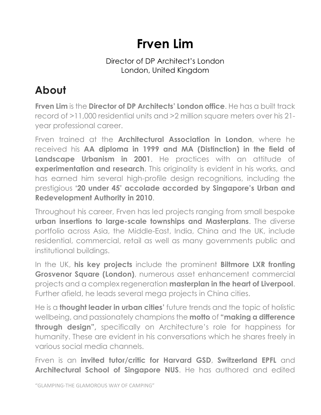## **Frven Lim**

## Director of DP Architect's London London, United Kingdom

## **About**

**Frven Lim** is the **Director of DP Architects' London office**. He has a built track record of >11,000 residential units and >2 million square meters over his 21 year professional career.

Frven trained at the **Architectural Association in London**, where he received his **AA diploma in 1999 and MA (Distinction) in the field of Landscape Urbanism in 2001.** He practices with an attitude of **experimentation and research**. This originality is evident in his works, and has earned him several high-profile design recognitions, including the prestigious **'20 under 45' accolade accorded by Singapore's Urban and Redevelopment Authority in 2010**.

Throughout his career, Frven has led projects ranging from small bespoke **urban insertions to large-scale townships and Masterplans**. The diverse portfolio across Asia, the Middle-East, India, China and the UK, include residential, commercial, retail as well as many governments public and institutional buildings.

In the UK, **his key projects** include the prominent **Biltmore LXR fronting Grosvenor Square (London)**, numerous asset enhancement commercial projects and a complex regeneration **masterplan in the heart of Liverpool**. Further afield, he leads several mega projects in China cities.

He is a **thought leader in urban cities'** future trends and the topic of holistic wellbeing, and passionately champions the **motto** of **"making a difference through design",** specifically on Architecture's role for happiness for humanity. These are evident in his conversations which he shares freely in various social media channels.

Frven is an **invited tutor/critic for Harvard GSD**, **Switzerland EPFL** and **Architectural School of Singapore NUS**. He has authored and edited